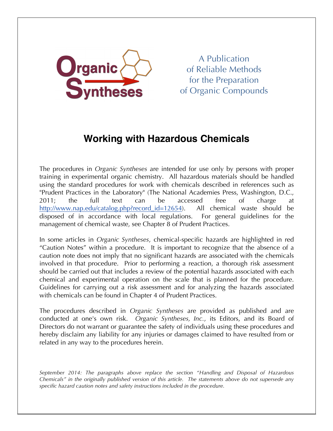

A Publication of Reliable Methods for the Preparation of Organic Compounds

# **Working with Hazardous Chemicals**

The procedures in *Organic Syntheses* are intended for use only by persons with proper training in experimental organic chemistry. All hazardous materials should be handled using the standard procedures for work with chemicals described in references such as "Prudent Practices in the Laboratory" (The National Academies Press, Washington, D.C., 2011; the full text can be accessed free of charge at http://www.nap.edu/catalog.php?record\_id=12654). All chemical waste should be disposed of in accordance with local regulations. For general guidelines for the management of chemical waste, see Chapter 8 of Prudent Practices.

In some articles in *Organic Syntheses*, chemical-specific hazards are highlighted in red "Caution Notes" within a procedure. It is important to recognize that the absence of a caution note does not imply that no significant hazards are associated with the chemicals involved in that procedure. Prior to performing a reaction, a thorough risk assessment should be carried out that includes a review of the potential hazards associated with each chemical and experimental operation on the scale that is planned for the procedure. Guidelines for carrying out a risk assessment and for analyzing the hazards associated with chemicals can be found in Chapter 4 of Prudent Practices.

The procedures described in *Organic Syntheses* are provided as published and are conducted at one's own risk. *Organic Syntheses, Inc.*, its Editors, and its Board of Directors do not warrant or guarantee the safety of individuals using these procedures and hereby disclaim any liability for any injuries or damages claimed to have resulted from or related in any way to the procedures herein.

*September 2014: The paragraphs above replace the section "Handling and Disposal of Hazardous Chemicals" in the originally published version of this article. The statements above do not supersede any specific hazard caution notes and safety instructions included in the procedure.*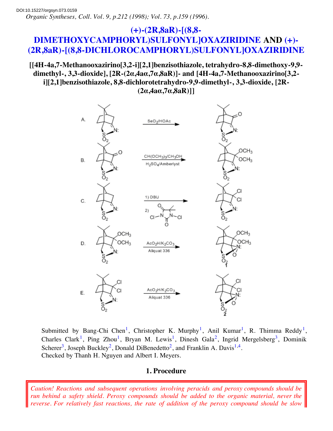## **(+)-(2R,8aR)-[(8,8- [DIMETHOXYCAMPHORYL\)SULFONYL\]OXAZIRIDINE](http://www.orgsyn.org/orgsyn/chemname.asp?nameID=61371) AND (+)- [\(2R,8aR\)-\[\(8,8-DICHLOROCAMPHORYL\)SULFONYL\]OXAZIRIDINE](http://www.orgsyn.org/orgsyn/chemname.asp?nameID=61372)**

## **[[4H-4a,7-Methanooxazirino[3,2-i][2,1]benzisothiazole, tetrahydro-8,8-dimethoxy-9,9 dimethyl-, 3,3-dioxide], [2R-(2α,4aα,7α,8aR)]- and [4H-4a,7-Methanooxazirino[3,2 i][2,1]benzisothiazole, 8,8-dichlorotetrahydro-9,9-dimethyl-, 3,3-dioxide, [2R- (2α,4aα,7α,8aR)]]**



Submitted by Bang-Chi Chen<sup>[1](http://www.orgsyn.org/orgsyn/orgsyn/prepcontent.asp?print=1&prep=cv9p0212#Ref1)</sup>, Christopher K. Murphy<sup>1</sup>, Anil Kumar<sup>1</sup>, R. Thimma Reddy<sup>1</sup>, Charles Clark<sup>[1](http://www.orgsyn.org/orgsyn/orgsyn/prepcontent.asp?print=1&prep=cv9p0212#Ref1)</sup>, Ping Zhou<sup>1</sup>, Bryan M. Lewis<sup>1</sup>, Dinesh Gala<sup>[2](http://www.orgsyn.org/orgsyn/orgsyn/prepcontent.asp?print=1&prep=cv9p0212#Ref2)</sup>, Ingrid Mergelsberg<sup>[3](http://www.orgsyn.org/orgsyn/orgsyn/prepcontent.asp?print=1&prep=cv9p0212#Ref3)</sup>, Dominik Scherer<sup>[3](http://www.orgsyn.org/orgsyn/orgsyn/prepcontent.asp?print=1&prep=cv9p0212#Ref3)</sup>, Joseph Buckley<sup>[2](http://www.orgsyn.org/orgsyn/orgsyn/prepcontent.asp?print=1&prep=cv9p0212#Ref2)</sup>, Donald DiBenedetto<sup>2</sup>, and Franklin A. Davis<sup>[1,](http://www.orgsyn.org/orgsyn/orgsyn/prepcontent.asp?print=1&prep=cv9p0212#Ref1)[4](http://www.orgsyn.org/orgsyn/orgsyn/prepcontent.asp?print=1&prep=cv9p0212#Ref4)</sup>. Checked by Thanh H. Nguyen and Albert I. Meyers.

## **1. Procedure**

*Caution! Reactions and subsequent operations involving peracids and peroxy compounds should be run behind a safety shield. Peroxy compounds should be added to the organic material, never the reverse. For relatively fast reactions, the rate of addition of the peroxy compound should be slow*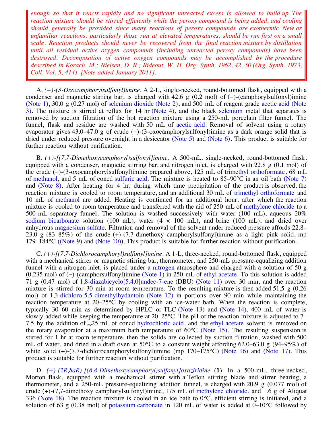*enough so that it reacts rapidly and no significant unreacted excess is allowed to build up. The reaction mixture should be stirred efficiently while the peroxy compound is being added, and cooling should generally be provided since many reactions of peroxy compounds are exothermic. New or unfamiliar reactions, particularly those run at elevated temperatures, should be run first on a small scale. Reaction products should never be recovered from the final reaction mixture by distillation until all residual active oxygen compounds (including unreacted peroxy compounds) have been destroyed. Decomposition of active oxygen compounds may be accomplished by the procedure described in Korach, M.; Nielsen, D. R.; Rideout, W. H. Org. Synth. 1962, 42, 50 (Org. Synth. 1973, Coll. Vol. 5, 414). [Note added January 2011].*

A. *(−)-(3-Oxocamphorylsulfonyl)imine*. A 2-L, single-necked, round-bottomed flask, equipped with a condenser and magnetic stirring bar, is charged with 42.6 g (0.2 mol) of (−)-(camphorylsulfonyl)imine [\(Note 1\)](http://www.orgsyn.org/orgsyn/orgsyn/prepcontent.asp?print=1&prep=cv9p0212#Note1), 30.0 g (0.27 mol) of [selenium dioxide](http://www.orgsyn.org/orgsyn/chemname.asp?nameID=33179) [\(Note 2\),](http://www.orgsyn.org/orgsyn/orgsyn/prepcontent.asp?print=1&prep=cv9p0212#Note2) and 500 mL of reagent grade [acetic acid](http://www.orgsyn.org/orgsyn/chemname.asp?nameID=32786) (Note [3\). The mixture is stirred at reflux for 14 hr \(Note 4\), and the black selenium metal that separates is](http://www.orgsyn.org/orgsyn/orgsyn/prepcontent.asp?print=1&prep=cv9p0212#Note3) removed by suction filtration of the hot reaction mixture using a 250-mL porcelain filter funnel. The funnel, flask and residue are washed with 50 mL of [acetic acid](http://www.orgsyn.org/orgsyn/chemname.asp?nameID=32786). Removal of solvent using a rotary evaporator gives 43.0–47.0 g of crude (−)-(3-oxocamphorylsulfonyl)imine as a dark orange solid that is dried under reduced pressure overnight in a desiccator [\(Note 5\)](http://www.orgsyn.org/orgsyn/orgsyn/prepcontent.asp?print=1&prep=cv9p0212#Note5) and [\(Note 6\).](http://www.orgsyn.org/orgsyn/orgsyn/prepcontent.asp?print=1&prep=cv9p0212#Note6) This product is suitable for further reaction without purification.

B. *(+)-[(7,7-Dimethoxycamphoryl)sulfonyl]imine*. A 500-mL, single-necked, round-bottomed flask, equipped with a condenser, magnetic stirring bar, and nitrogen inlet, is charged with 22.8 g (0.1 mol) of the crude (−)-(3-oxocamphorylsulfonyl)imine prepared above, 125 mL of [trimethyl orthoformate](http://www.orgsyn.org/orgsyn/chemname.asp?nameID=45796), 68 mL of [methanol](http://www.orgsyn.org/orgsyn/chemname.asp?nameID=34027), and 5 mL of concd [sulfuric acid.](http://www.orgsyn.org/orgsyn/chemname.asp?nameID=32777) The mixture is heated to 85–90°C in an oil bath [\(Note 7\)](http://www.orgsyn.org/orgsyn/orgsyn/prepcontent.asp?print=1&prep=cv9p0212#Note7) and [\(Note 8\)](http://www.orgsyn.org/orgsyn/orgsyn/prepcontent.asp?print=1&prep=cv9p0212#Note8). After heating for 4 hr, during which time precipitation of the product is observed, the reaction mixture is cooled to room temperature, and an additional 30 mL of [trimethyl orthoformate](http://www.orgsyn.org/orgsyn/chemname.asp?nameID=45796) and 10 mL of [methanol](http://www.orgsyn.org/orgsyn/chemname.asp?nameID=34027) are added. Heating is continued for an additional hour, after which the reaction mixture is cooled to room temperature and transferred with the aid of 250 mL of [methylene chloride](http://www.orgsyn.org/orgsyn/chemname.asp?nameID=34037) to a 500-mL separatory funnel. The solution is washed successively with water (100 mL), aqueous 20% [sodium bicarbonate](http://www.orgsyn.org/orgsyn/chemname.asp?nameID=32850) solution (100 mL), water  $(4 \times 100 \text{ mL})$ , and brine (100 mL), and dried over anhydrous [magnesium sulfate](http://www.orgsyn.org/orgsyn/chemname.asp?nameID=34696). Filtration and removal of the solvent under reduced pressure affords 22.8– 23.0 g (83–85%) of the crude (+)-(7,7-dimethoxy camphorylsulfonyl)imine as a light pink solid, mp 179–184 $\rm{°C}$  ([\(Note 9\)](http://www.orgsyn.org/orgsyn/orgsyn/prepcontent.asp?print=1&prep=cv9p0212#Note9) and [\(Note 10\)\)](http://www.orgsyn.org/orgsyn/orgsyn/prepcontent.asp?print=1&prep=cv9p0212#Note10). This product is suitable for further reaction without purification.

C. *(+)-[(7,7-Dichlorocamphoryl)sulfonyl]imine*. A 1-L, three-necked, round-bottomed flask, equipped with a mechanical stirrer or magnetic stirring bar, thermometer, and 250-mL pressure-equalizing addition funnel with a nitrogen inlet, is placed under a [nitrogen](http://www.orgsyn.org/orgsyn/chemname.asp?nameID=32985) atmosphere and charged with a solution of 50 g (0.235 mol) of (−)-(camphorsulfonyl)imine [\(Note 1\)](http://www.orgsyn.org/orgsyn/orgsyn/prepcontent.asp?print=1&prep=cv9p0212#Note1) in 250 mL of [ethyl acetate.](http://www.orgsyn.org/orgsyn/chemname.asp?nameID=32790) To this solution is added 71 g (0.47 mol) of [1,8-diazabicyclo\[5.4.0\]undec-7-ene](http://www.orgsyn.org/orgsyn/chemname.asp?nameID=49563) (DBU) [\(Note 11\)](http://www.orgsyn.org/orgsyn/orgsyn/prepcontent.asp?print=1&prep=cv9p0212#Note11) over 30 min, and the reaction mixture is stirred for 30 min at room temperature. To the resulting mixture is then added 51.5 g (0.26 mol) of [1,3-dichloro-5,5-dimethylhydantoin](http://www.orgsyn.org/orgsyn/chemname.asp?nameID=41049) [\(Note 12\)](http://www.orgsyn.org/orgsyn/orgsyn/prepcontent.asp?print=1&prep=cv9p0212#Note12) in portions over 90 min while maintaining the reaction temperature at  $20-25^{\circ}$ C by cooling with an ice-water bath. When the reaction is complete, typically 30–60 min as determined by HPLC or TLC [\(Note 13\)](http://www.orgsyn.org/orgsyn/orgsyn/prepcontent.asp?print=1&prep=cv9p0212#Note13) and [\(Note 14\)](http://www.orgsyn.org/orgsyn/orgsyn/prepcontent.asp?print=1&prep=cv9p0212#Note14), 400 mL of water is slowly added while keeping the temperature at 20–25°C. The pH of the reaction mixture is adjusted to 7– 7.5 by the addition of 25 mL of concd [hydrochloric acid](http://www.orgsyn.org/orgsyn/chemname.asp?nameID=32803), and the [ethyl acetate](http://www.orgsyn.org/orgsyn/chemname.asp?nameID=32790) solvent is removed on the rotary evaporator at a maximum bath temperature of  $60^{\circ}$ C [\(Note 15\)](http://www.orgsyn.org/orgsyn/orgsyn/prepcontent.asp?print=1&prep=cv9p0212#Note15). The resulting suspension is stirred for 1 hr at room temperature, then the solids are collected by suction filtration, washed with 500 mL of water, and dried in a draft oven at 50 $^{\circ}$ C to a constant weight affording 62.0–63.0 g (94–95%) of white solid (+)-(7,7-dichlorocamphorylsulfonyl)imine (mp 170–175°C) [\(Note 16\)](http://www.orgsyn.org/orgsyn/orgsyn/prepcontent.asp?print=1&prep=cv9p0212#Note16) and [\(Note 17\)](http://www.orgsyn.org/orgsyn/orgsyn/prepcontent.asp?print=1&prep=cv9p0212#Note17). This product is suitable for further reaction without purification.

D. *[\(+\)-\(2R,8aR\)-\[\(8,8-Dimethoxycamphoryl\)sulfonyl\]oxaziridine](http://www.orgsyn.org/orgsyn/chemname.asp?nameID=61371)* (**1**). In a 500-mL, three-necked, Morton flask, equipped with a mechanical stirrer with a Teflon stirring blade and stirrer bearing, a thermometer, and a 250-mL pressure-equalizing addition funnel, is charged with 20.9 g (0.077 mol) of crude (+)-(7,7-dimethoxy camphorylsulfonyl)imine, 175 mL of [methylene chloride,](http://www.orgsyn.org/orgsyn/chemname.asp?nameID=34037) and 1.6 g of Aliquat 336 [\(Note 18\)](http://www.orgsyn.org/orgsyn/orgsyn/prepcontent.asp?print=1&prep=cv9p0212#Note18). The reaction mixture is cooled in an ice bath to  $0^{\circ}$ C, efficient stirring is initiated, and a solution of 63 g (0.38 mol) of [potassium carbonate](http://www.orgsyn.org/orgsyn/chemname.asp?nameID=32773) in 120 mL of water is added at 0–10°C followed by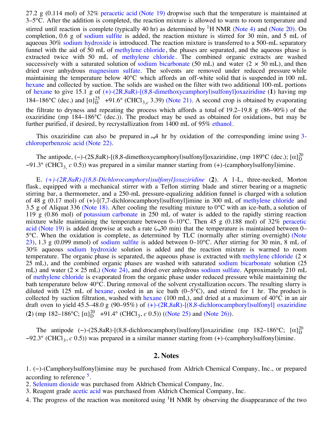solution of 63 g (0.38 mol) of [potassium carbonate](http://www.orgsyn.org/orgsyn/chemname.asp?nameID=32773) in 120 mL of water is added at 0–10°C followed by 27.2 g (0.114 mol) of 32% [peracetic acid](http://www.orgsyn.org/orgsyn/chemname.asp?nameID=36707) [\(Note 19\)](http://www.orgsyn.org/orgsyn/orgsyn/prepcontent.asp?print=1&prep=cv9p0212#Note19) dropwise such that the temperature is maintained at 3–5°C. After the addition is completed, the reaction mixture is allowed to warm to room temperature and stirred until reaction is complete (typically 40 hr) as determined by <sup>1</sup>H NMR [\(Note 4\)](http://www.orgsyn.org/orgsyn/orgsyn/prepcontent.asp?print=1&prep=cv9p0212#Note4) and [\(Note 20\)](http://www.orgsyn.org/orgsyn/orgsyn/prepcontent.asp?print=1&prep=cv9p0212#Note20). On completion, 0.6 g of [sodium sulfite](http://www.orgsyn.org/orgsyn/chemname.asp?nameID=32817) is added, the reaction mixture is stirred for 30 min, and 5 mL of aqueous 30% [sodium hydroxide](http://www.orgsyn.org/orgsyn/chemname.asp?nameID=32818) is introduced. The reaction mixture is transferred to a 500-mL separatory funnel with the aid of 50 mL of [methylene chloride](http://www.orgsyn.org/orgsyn/chemname.asp?nameID=34037), the phases are separated, and the aqueous phase is extracted twice with 50 mL of [methylene chloride](http://www.orgsyn.org/orgsyn/chemname.asp?nameID=34037). The combined organic extracts are washed successively with a saturated solution of [sodium bicarbonate](http://www.orgsyn.org/orgsyn/chemname.asp?nameID=32850) (50 mL) and water (2  $\times$  50 mL), and then dried over anhydrous [magnesium sulfate](http://www.orgsyn.org/orgsyn/chemname.asp?nameID=34696). The solvents are removed under reduced pressure while maintaining the temperature below 40°C which affords an off-white solid that is suspended in 100 mL [hexane](http://www.orgsyn.org/orgsyn/chemname.asp?nameID=37415) and collected by suction. The solids are washed on the filter with two additional 100-mL portions of [hexane](http://www.orgsyn.org/orgsyn/chemname.asp?nameID=37415) to give 15.1 g of [\(+\)-\(2R,8aR\)-\[\(8,8-dimethoxycamphoryl\)sulfonyl\]oxaziridine](http://www.orgsyn.org/orgsyn/chemname.asp?nameID=61371) (**1**) having mp 184–186°C (dec.) and  $[\alpha]_D^{25}$  +91.6° (CHCl<sub>3,c</sub> 3.39) [\(Note 21\)](http://www.orgsyn.org/orgsyn/orgsyn/prepcontent.asp?print=1&prep=cv9p0212#Note21). A second crop is obtained by evaporating the filtrate to dryness and repeating the process which affords a total of 19.2–19.8 g (86–90%) of the oxaziridine (mp 184–186°C (dec.)). The product may be used as obtained for oxidations, but may be further purified, if desired, by recrystallization from 1400 mL of 95% [ethanol.](http://www.orgsyn.org/orgsyn/chemname.asp?nameID=35861)

This oxaziridine can also be prepared in  $\mathcal A$  hr by oxidation of the corresponding imine using 3chloroperbenzoic acid [\(Note 22\)](http://www.orgsyn.org/orgsyn/orgsyn/prepcontent.asp?print=1&prep=cv9p0212#Note22).

The antipode, (-)-(2S,8aR)-[(8,8-dimethoxycamphoryl)sulfonyl]oxaziridine, (mp 189°C (dec.); [ $\alpha$ ] $_{\text{D}}^{20}$ −91.3° (CHCl3, *c* 0.5)) was prepared in a similar manner starting from (+)-(camphorylsulfonyl)imine. D

E. *[\(+\)-\(2R,8aR\)-\[\(8,8-Dichlorocamphoryl\)sulfonyl\]oxaziridine](http://www.orgsyn.org/orgsyn/chemname.asp?nameID=61372)* (**2**). A 1-L, three-necked, Morton flask, equipped with a mechanical stirrer with a Teflon stirring blade and stirrer bearing or a magnetic stirring bar, a thermometer, and a 250-mL pressure-equalizing addition funnel is charged with a solution of 48 g (0.17 mol) of (+)-[(7,7-dichlorocamphoryl)sulfonyl]imine in 300 mL of [methylene chloride](http://www.orgsyn.org/orgsyn/chemname.asp?nameID=34037) and 3.5 g of Aliquat 336 [\(Note 18\)](http://www.orgsyn.org/orgsyn/orgsyn/prepcontent.asp?print=1&prep=cv9p0212#Note18). After cooling the resulting mixture to  $0^{\circ}$ C with an ice-bath, a solution of 119 g (0.86 mol) of [potassium carbonate](http://www.orgsyn.org/orgsyn/chemname.asp?nameID=32773) in 250 mL of water is added to the rapidly stirring reaction mixture while maintaining the temperature between  $0-10^{\circ}$ C. Then 45 g (0.188 mol) of 32% peracetic acid [\(Note 19\)](http://www.orgsyn.org/orgsyn/orgsyn/prepcontent.asp?print=1&prep=cv9p0212#Note19) is added dropwise at such a rate  $(.30 \text{ min})$  that the temperature is maintained between 0– [5°C. When the oxidation is complete, as determined by TLC \(normally after stirring overnight\) \(Note](http://www.orgsyn.org/orgsyn/orgsyn/prepcontent.asp?print=1&prep=cv9p0212#Note23) 23), 1.3 g (0.099 mmol) of [sodium sulfite](http://www.orgsyn.org/orgsyn/chemname.asp?nameID=32817) is added between 0–10°C. After stirring for 30 min, 8 mL of 30% aqueous [sodium hydroxide](http://www.orgsyn.org/orgsyn/chemname.asp?nameID=32818) solution is added and the reaction mixture is warmed to room temperature. The organic phase is separated, the aqueous phase is extracted with [methylene chloride](http://www.orgsyn.org/orgsyn/chemname.asp?nameID=34037)  $(2 \times$ 25 mL), and the combined organic phases are washed with saturated [sodium bicarbonate](http://www.orgsyn.org/orgsyn/chemname.asp?nameID=32850) solution (25 mL) and water  $(2 \times 25 \text{ mL})$  [\(Note 24\),](http://www.orgsyn.org/orgsyn/orgsyn/prepcontent.asp?print=1&prep=cv9p0212#Note24) and dried over anhydrous [sodium sulfate](http://www.orgsyn.org/orgsyn/chemname.asp?nameID=32963). Approximately 210 mL of [methylene chloride](http://www.orgsyn.org/orgsyn/chemname.asp?nameID=34037) is evaporated from the organic phase under reduced pressure while maintaining the bath temperature below 40°C. During removal of the solvent crystallization occurs. The resulting slurry is diluted with 125 mL of [hexane](http://www.orgsyn.org/orgsyn/chemname.asp?nameID=37415), cooled in an ice bath  $(0-5^{\circ}C)$ , and stirred for 1 hr. The product is collected by suction filtration, washed with [hexane](http://www.orgsyn.org/orgsyn/chemname.asp?nameID=37415) (100 mL), and dried at a maximum of 40°C in an air draft oven to yield 45.5–48.0 g (90–95%) of [\(+\)-\(2R,8aR\)-\[\(8,8-dichlorocamphoryl\)sulfonyl\] oxaziridine](http://www.orgsyn.org/orgsyn/chemname.asp?nameID=61383) (**2**) (mp 182–186°C;  $[\alpha]_D^{20}$  +91.4° (CHCl<sub>3</sub>, *c* 0.5)) ([\(Note 25\)](http://www.orgsyn.org/orgsyn/orgsyn/prepcontent.asp?print=1&prep=cv9p0212#Note25) and [\(Note 26\)](http://www.orgsyn.org/orgsyn/orgsyn/prepcontent.asp?print=1&prep=cv9p0212#Note26)).

The antipode (-)-(2S,8aR)-[(8,8-dichlorocamphoryl)sulfonyl]oxaziridine (mp 182-186°C; [ $\alpha$ ] $^{20}_{D}$ −92.3° (CHCl3, *c* 0.5)) was prepared in a similar manner starting from (+)-(camphorylsulfonyl)imine. D

#### **2. Notes**

1. (−)-(Camphorylsulfonyl)imine may be purchased from Aldrich Chemical Company, Inc., or prepared according to reference <sup>[5](http://www.orgsyn.org/orgsyn/orgsyn/prepcontent.asp?print=1&prep=cv9p0212#Ref5)</sup>.

2. [Selenium dioxide](http://www.orgsyn.org/orgsyn/chemname.asp?nameID=33179) was purchased from Aldrich Chemical Company, Inc.

3. Reagent grade [acetic acid](http://www.orgsyn.org/orgsyn/chemname.asp?nameID=32786) was purchased from Aldrich Chemical Company, Inc.

4. The progress of the reaction was monitored using  ${}^{1}H$  NMR by observing the disappearance of the two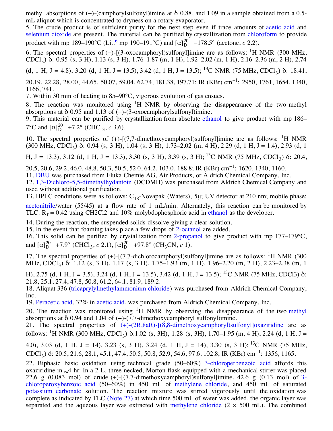4. The progress of the reaction was monitored using H NMR by observing the disappearance of the two methyl absorptions of (−)-(camphorylsulfonyl)imine at δ 0.88, and 1.09 in a sample obtained from a 0.5 mL aliquot which is concentrated to dryness on a rotary evaporator.

5. The crude product is of sufficient purity for the next step even if trace amounts of [acetic acid](http://www.orgsyn.org/orgsyn/chemname.asp?nameID=32786) and [selenium dioxide](http://www.orgsyn.org/orgsyn/chemname.asp?nameID=33179) are present. The material can be purified by crystallization from [chloroform](http://www.orgsyn.org/orgsyn/chemname.asp?nameID=32838) to provide product with mp 189–190°C (Lit.<sup>[6](http://www.orgsyn.org/orgsyn/orgsyn/prepcontent.asp?print=1&prep=cv9p0212#Ref6)</sup> mp 190–191°C) and  $[\alpha]_D^{20}$  –178.5° (acetone, *c* 2.2).

6. The spectral properties of (-)-[(3-oxocamphoryl)sulfonyl]imine are as follows: <sup>1</sup>H NMR (300 MHz, CDCl3) δ: 0.95 (s, 3 H), 1.13 (s, 3 H), 1.76–1.87 (m, 1 H), 1.92–2.02 (m, 1 H), 2.16–2.36 (m, 2 H), 2.74

(d, 1 H, J = 4.8), 3.20 (d, 1 H, J = 13.5), 3.42 (d, 1 H, J = 13.5); <sup>13</sup>C NMR (75 MHz, CDCl<sub>3</sub>) δ: 18.41,

20.19, 22.28, 28.00, 44.65, 50.07, 59.04, 62.74, 181.38, 197.71; IR (KBr) cm−<sup>1</sup> : 2950, 1761, 1654, 1340, 1166, 741.

7. Within 30 min of heating to 85–90°C, vigorous evolution of gas ensues.

8. The reaction was monitored using  ${}^{1}H$  NMR by observing the disappearance of the two methyl absorptions at  $\delta$  0.95 and 1.13 of (-)-(3-oxocamphorylsulfonyl)imine.

9. This material can be purified by crystallization from absolute [ethanol](http://www.orgsyn.org/orgsyn/chemname.asp?nameID=35861) to give product with mp 186–  $7^{\circ}$ C and  $[\alpha]_{D}^{20}$  +7.2° (CHCl<sub>3</sub>, *c* 3.6).

10. The spectral properties of  $(+)$ -[ $(7,7$ -dimethoxycamphoryl)sulfonyl]imine are as follows: <sup>1</sup>H NMR  $(300 \text{ MHz}, \text{CDCl}_3)$  δ: 0.94 (s, 3 H), 1.04 (s, 3 H), 1.73–2.02 (m, 4 H), 2.29 (d, 1 H, J = 1.4), 2.93 (d, 1

H, J = 13.3), 3.12 (d, 1 H, J = 13.3), 3.30 (s, 3 H), 3.39 (s, 3 H); <sup>13</sup>C NMR (75 MHz, CDCl<sub>3</sub>) δ: 20.4,

20.5, 20.6, 29.2, 46.0, 48.8, 50.3, 50.5, 52.0, 64.2, 103.0, 188.8; IR (KBr) cm−<sup>1</sup> : 1620, 1340, 1160.

11. [DBU](http://www.orgsyn.org/orgsyn/chemname.asp?nameID=61386) was purchased from Fluka Chemie AG, Air Products, or Aldrich Chemical Company, Inc.

12. [1,3-Dichloro-5,5-dimethylhydantoin](http://www.orgsyn.org/orgsyn/chemname.asp?nameID=41049) (DCDMH) was purchased from Aldrich Chemical Company and used without additional purification.

13. HPLC conditions were as follows:  $C_{18}$ -Novapak (Waters), 5μ; UV detector at 210 nm; mobile phase: [acetonitrile](http://www.orgsyn.org/orgsyn/chemname.asp?nameID=32802)/water (55/45) at a flow rate of 1 mL/min. Alternately, this reaction can be monitored by TLC:  $R_f = 0.42$  using CH2Cl2 and 10% molybdophosphoric acid in [ethanol](http://www.orgsyn.org/orgsyn/chemname.asp?nameID=35861) as the developer.

14. During the reaction, the suspended solids dissolve giving a clear solution.

15. In the event that foaming takes place a few drops of [2-octanol](http://www.orgsyn.org/orgsyn/chemname.asp?nameID=34069) are added.

16. This solid can be purified by crystallization from [2-propanol](http://www.orgsyn.org/orgsyn/chemname.asp?nameID=42991) to give product with mp 177–179°C, and  $[\alpha]_D^{20}$  +7.9° (CHCl<sub>3</sub>, *c* 2.1),  $[\alpha]_D^{20}$  +97.8° (CH<sub>3</sub>CN, *c* 1).

17. The spectral properties of  $(+)$ -[(7,7-dichlorocamphoryl)sulfonyl]imine are as follows: <sup>1</sup>H NMR (300) MHz, CDCl<sub>3</sub>) δ: 1.12 (s, 3 H), 1.17 (s, 3 H), 1.75–1.93 (m, 1 H), 1.96–2.20 (m, 2 H), 2.23–2.38 (m, 1

H), 2.75 (d, 1 H, J = 3.5), 3.24 (d, 1 H, J = 13.5), 3.42 (d, 1 H, J = 13.5); <sup>13</sup>C NMR (75 MHz, CDCl3) δ: 21.8, 25.1, 27.4, 47.8, 50.8, 61.2, 64.1, 81.9, 189.2.

18. Aliquat 336 ([tricaprylylmethylammonium chloride](http://www.orgsyn.org/orgsyn/chemname.asp?nameID=45620)) was purchased from Aldrich Chemical Company, Inc.

19. [Peracetic acid](http://www.orgsyn.org/orgsyn/chemname.asp?nameID=36707), 32% in [acetic acid](http://www.orgsyn.org/orgsyn/chemname.asp?nameID=32786), was purchased from Aldrich Chemical Company, Inc.

20. The reaction was monitored using <sup>1</sup>H NMR by observing the disappearance of the two [methyl](http://www.orgsyn.org/orgsyn/chemname.asp?nameID=33736) absorptions at  $\delta$  0.94 and 1.04 of (−)-(7,7-dimethoxycamphoryl sulfonyl)imine.

21. The spectral properties of [\(+\)-\(2R,8aR\)-\[\(8,8-dimethoxycamphoryl\)sulfonyl\]oxaziridine](http://www.orgsyn.org/orgsyn/chemname.asp?nameID=61371) are as follows: <sup>1</sup>H NMR (300 MHz, CDCl<sub>3</sub>) δ:1.02 (s, 3H), 1.28 (s, 3H), 1.70–1.95 (m, 4 H), 2.24 (d, 1 H, J =

4.0), 3.03 (d, 1 H, J = 14), 3.23 (s, 3 H), 3.24 (d, 1 H, J = 14), 3.30 (s, 3 H); <sup>13</sup>C NMR (75 MHz, CDCl<sub>3</sub>) δ: 20.5, 21.6, 28.1, 45.1, 47.4, 50.5, 50.8, 52.9, 54.6, 97.6, 102.8; IR (KBr) cm<sup>-1</sup>: 1356, 1165.

22. Biphasic basic oxidation using technical grade (50–60%) [3-chloroperbenzoic acid](http://www.orgsyn.org/orgsyn/chemname.asp?nameID=61380) affords this oxaziridine in 4 hr: In a 2-L, three-necked, Morton-flask equipped with a mechanical stirrer was placed 22.6 g  $(0.083 \text{ mol})$  of crude  $(+)$ - $[(7,7$ -dimethoxycamphoryl)sulfonyl]imine, 42.6 g  $(0.13 \text{ mol})$  of 3chloroperoxybenzoic acid (50–60%) in 450 mL of [methylene chloride](http://www.orgsyn.org/orgsyn/chemname.asp?nameID=34037), and 450 mL of saturated [potassium carbonate](http://www.orgsyn.org/orgsyn/chemname.asp?nameID=32773) solution. The reaction mixture was stirred vigorously until the oxidation was complete as indicated by TLC [\(Note 27\)](http://www.orgsyn.org/orgsyn/orgsyn/prepcontent.asp?print=1&prep=cv9p0212#Note27) at which time 500 mL of water was added, the organic layer was separated and the aqueous layer was extracted with [methylene chloride](http://www.orgsyn.org/orgsyn/chemname.asp?nameID=34037)  $(2 \times 500 \text{ mL})$ . The combined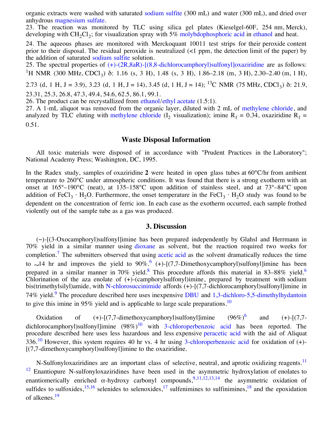separated and the aqueous layer was extracted with [methylene chloride](http://www.orgsyn.org/orgsyn/chemname.asp?nameID=34037) (2 × 500 mL). The combined organic extracts were washed with saturated [sodium sulfite](http://www.orgsyn.org/orgsyn/chemname.asp?nameID=32817) (300 mL) and water (300 mL), and dried over anhydrous [magnesium sulfate](http://www.orgsyn.org/orgsyn/chemname.asp?nameID=34696).

23. The reaction was monitored by TLC using silica gel plates (Kieselgel-60F, 254 nm, Merck), developing with  $CH_2Cl_2$ ; for visualization spray with 5% [molybdophosphoric acid](http://www.orgsyn.org/orgsyn/chemname.asp?nameID=51920) in [ethanol](http://www.orgsyn.org/orgsyn/chemname.asp?nameID=35861) and heat.

24. The aqueous phases are monitored with Merckoquant 10011 test strips for their peroxide content prior to their disposal. The residual peroxide is neutralized (<1 ppm, the detection limit of the paper) by the addition of saturated [sodium sulfite](http://www.orgsyn.org/orgsyn/chemname.asp?nameID=32817) solution.

25. The spectral properties of  $(+)$ - $(2R,8aR)$ - $[(8,8$ -dichlorocamphoryl)sulfonyl]oxaziridine are as follows: <sup>1</sup>H NMR (300 MHz, CDCl<sub>3</sub>) δ: 1.16 (s, 3 H), 1.48 (s, 3 H), 1.86–2.18 (m, 3 H), 2.30–2.40 (m, 1 H),

2.73 (d, 1 H, J = 3.9), 3.23 (d, 1 H, J = 14), 3.45 (d, 1 H, J = 14); <sup>13</sup>C NMR (75 MHz, CDCl<sub>3</sub>) δ: 21.9, 23.31, 25.3, 26.8, 47.3, 49.4, 54.6, 62.5, 86.1, 99.1.

26. The product can be recrystallized from [ethanol/](http://www.orgsyn.org/orgsyn/chemname.asp?nameID=35861)[ethyl acetate](http://www.orgsyn.org/orgsyn/chemname.asp?nameID=32790) (1.5:1).

27. A 1-mL aliquot was removed from the organic layer, diluted with 2 mL of [methylene chloride,](http://www.orgsyn.org/orgsyn/chemname.asp?nameID=34037) and analyzed by TLC eluting with [methylene chloride](http://www.orgsyn.org/orgsyn/chemname.asp?nameID=34037) (I<sub>2</sub> visualization); imine R<sub>f</sub> = 0.34, oxaziridine R<sub>f</sub> = 0.51.

#### **Waste Disposal Information**

All toxic materials were disposed of in accordance with "Prudent Practices in the Laboratory"; National Academy Press; Washington, DC, 1995.

In the Radex study, samples of oxaziridine **2** were heated in open glass tubes at 60°C/hr from ambient temperature to 260°C under atmospheric conditions. It was found that there is a strong exotherm with an onset at 165°–190°C (neat), at 135–158°C upon addition of stainless steel, and at 73°–84°C upon addition of FeCl<sub>3</sub> · H<sub>2</sub>O. Furthermore, the onset temperature in the FeCl<sub>3</sub> · H<sub>2</sub>O study was found to be dependent on the concentration of ferric ion. In each case as the exotherm occurred, each sample frothed violently out of the sample tube as a gas was produced.

#### **3. Discussion**

(−)-[(3-Oxocamphoryl)sulfonyl]imine has been prepared independently by Glahsl and Herrmann in 70% yield in a similar manner using [dioxane](http://www.orgsyn.org/orgsyn/chemname.asp?nameID=34733) as solvent, but the reaction required two weeks for completion.<sup>[7](http://www.orgsyn.org/orgsyn/orgsyn/prepcontent.asp?print=1&prep=cv9p0212#Ref7)</sup> The submitters observed that using [acetic acid](http://www.orgsyn.org/orgsyn/chemname.asp?nameID=32786) as the solvent dramatically reduces the time to  $\sim$ 14 hr and improves the yield to 90%.<sup>[6](http://www.orgsyn.org/orgsyn/orgsyn/prepcontent.asp?print=1&prep=cv9p0212#Ref6)</sup> (+)-[(7,7-Dimethoxycamphoryl)sulfonyl]imine has been prepared in a similar manner in 70% yield.<sup>[8](http://www.orgsyn.org/orgsyn/orgsyn/prepcontent.asp?print=1&prep=cv9p0212#Ref8)</sup> This procedure affords this material in 83–88% yield.<sup>[6](http://www.orgsyn.org/orgsyn/orgsyn/prepcontent.asp?print=1&prep=cv9p0212#Ref6)</sup> Chlorination of the aza enolate of (+)-(camphorylsulfonyl)imine, prepared by treatment with sodium bis(trimethylsilyl)amide, with [N-chlorosuccinimide](http://www.orgsyn.org/orgsyn/chemname.asp?nameID=38865) affords (+)-[(7,7-dichlorocamphoryl)sulfonyl]imine in 74% yield.<sup>[9](http://www.orgsyn.org/orgsyn/orgsyn/prepcontent.asp?print=1&prep=cv9p0212#Ref9)</sup> The procedure described here uses inexpensive [DBU](http://www.orgsyn.org/orgsyn/chemname.asp?nameID=61386) and  $1,3$ -dichloro-5,5-dimethylhydantoin to give this imine in 95% yield and is applicable to large scale preparations.<sup>[10](http://www.orgsyn.org/orgsyn/orgsyn/prepcontent.asp?print=1&prep=cv9p0212#Ref10)</sup>

Oxidation of  $(+)$ - $(7,7$ -dimethoxycamphoryl)sulfonyl]imine  $(96\%)^6$  $(96\%)^6$  $(96\%)^6$ and  $(+)$ - $(7,7)$ -dichlorocamphoryl)sulfonyl]imine (98%)<sup>[10](http://www.orgsyn.org/orgsyn/orgsyn/prepcontent.asp?print=1&prep=cv9p0212#Ref10)</sup> with [3-chloroperbenzoic acid](http://www.orgsyn.org/orgsyn/chemname.asp?nameID=61380) has been reported. The procedure described here uses less hazardous and less expensive [peracetic acid](http://www.orgsyn.org/orgsyn/chemname.asp?nameID=36707) with the aid of Aliquat  $336<sup>10</sup>$  $336<sup>10</sup>$  $336<sup>10</sup>$  However, this system requires 40 hr vs. 4 hr using [3-chloroperbenzoic acid](http://www.orgsyn.org/orgsyn/chemname.asp?nameID=61380) for oxidation of  $(+)$ -[(7,7-dimethoxycamphoryl)sulfonyl]imine to the oxaziridine.

N-Sulfonyloxaziridines are an important class of selective, neutral, and aprotic oxidizing reagents.<sup>[11](http://www.orgsyn.org/orgsyn/orgsyn/prepcontent.asp?print=1&prep=cv9p0212#Ref11a)</sup> <sup>[12](http://www.orgsyn.org/orgsyn/orgsyn/prepcontent.asp?print=1&prep=cv9p0212#Ref11b)</sup> Enantiopure N-sulfonyloxaziridines have been used in the asymmetric hydroxylation of enolates to enantiomerically enriched  $\alpha$ -hydroxy carbonyl compounds,<sup>[9,](http://www.orgsyn.org/orgsyn/orgsyn/prepcontent.asp?print=1&prep=cv9p0212#Ref9)[11,](http://www.orgsyn.org/orgsyn/orgsyn/prepcontent.asp?print=1&prep=cv9p0212#Ref11a)[12](http://www.orgsyn.org/orgsyn/orgsyn/prepcontent.asp?print=1&prep=cv9p0212#Ref11b)[,13](http://www.orgsyn.org/orgsyn/orgsyn/prepcontent.asp?print=1&prep=cv9p0212#Ref12),[14](http://www.orgsyn.org/orgsyn/orgsyn/prepcontent.asp?print=1&prep=cv9p0212#Ref13)</sup> the asymmetric oxidation of sulfides to sulfoxides,<sup>[15,](http://www.orgsyn.org/orgsyn/orgsyn/prepcontent.asp?print=1&prep=cv9p0212#Ref14)16</sup> selenides to selenoxides,<sup>[17](http://www.orgsyn.org/orgsyn/orgsyn/prepcontent.asp?print=1&prep=cv9p0212#Ref16)</sup> sulfenimines to sulfinimines,<sup>18</sup> and the epoxidation of alkenes.[19](http://www.orgsyn.org/orgsyn/orgsyn/prepcontent.asp?print=1&prep=cv9p0212#Ref18)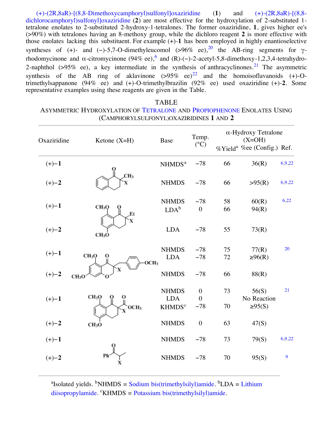[\(](http://www.orgsyn.org/orgsyn/chemname.asp?nameID=61372)[+\)-\(2R,8aR\)-\[\(8,8-Dimethoxycamphoryl\)sulfonyl\]oxaziridine](http://www.orgsyn.org/orgsyn/chemname.asp?nameID=61371) [\(](http://www.orgsyn.org/orgsyn/chemname.asp?nameID=61372)**1**) and (+)-(2R,8aR)-[(8,8 dichlorocamphoryl)sulfonyl]oxaziridine (**2**) are most effective for the hydroxylation of 2-substituted 1 tetralone enolates to 2-substituted 2-hydroxy-1-tetralones. The former oxaziridine, **1**, gives higher ee's (>90%) with tetralones having an 8-methoxy group, while the dichloro reagent **2** is more effective with those enolates lacking this substituent. For example (+)-**1** has been employed in highly enantioselective syntheses of (+)- and (-)-5,7-O-dimethyleucomol (>96% ee),<sup>20</sup> the AB-ring segments for  $\gamma$ rhodomycinone and α-citromycinone (94% ee),  $6$  and (R)-(-)-2-acetyl-5,8-dimethoxy-1,2,3,4-tetrahydro-2-naphthol ( $>95\%$  ee), a key intermediate in the synthesis of anthracyclinones.<sup>21</sup> The asymmetric synthesis of the AB ring of aklavinone  $(>95\%$  ee)<sup>22</sup> and the homoisoflavanoids (+)-Otrimethylsappanone (94% ee) and (+)-O-trimethylbrazilin (92% ee) used oxaziridine (+)-**2**. Some representative examples using these reagents are given in the Table.

### TABLE ASYMMETRIC HYDROXYLATION OF [TETRALONE](http://www.orgsyn.org/orgsyn/chemname.asp?nameID=40355) AND [PROPIOPHENONE](http://www.orgsyn.org/orgsyn/chemname.asp?nameID=35195) ENOLATES USING (CAMPHORYLSULFONYL)OXAZIRIDINES **1** AND **2**

| Oxaziridine | Ketone $(X=H)$                             | Base                                                   | Temp.<br>$(^{\circ}C)$                      |          | $\alpha$ -Hydroxy Tetralone<br>$(X=OH)$<br>%Yield <sup>a</sup> %ee (Config.) Ref. |        |
|-------------|--------------------------------------------|--------------------------------------------------------|---------------------------------------------|----------|-----------------------------------------------------------------------------------|--------|
| $(+)-1$     |                                            | NHMDS <sup>a</sup>                                     | $-78$                                       | 66       | 36(R)                                                                             | 6,9,22 |
| $(+) - 2$   | CH <sub>3</sub>                            | <b>NHMDS</b>                                           | $-78$                                       | 66       | >95(R)                                                                            | 6,9,22 |
| $(+)$ -1    | CH <sub>3</sub> O<br>Et                    | <b>NHMDS</b><br>$LDA^b$                                | $-78$<br>$\boldsymbol{0}$                   | 58<br>66 | 60(R)<br>94(R)                                                                    | 6,22   |
| $(+)-2$     | CH <sub>3</sub> O                          | <b>LDA</b>                                             | $-78$                                       | 55       | 73(R)                                                                             |        |
| $(+)-1$     | CH <sub>3</sub> O<br>0<br>OCH <sub>3</sub> | <b>NHMDS</b><br><b>LDA</b>                             | $-78$<br>$-78$                              | 75<br>72 | 77(R)<br>$\geq 96(R)$                                                             | 20     |
| $(+) - 2$   | CH <sub>3</sub> O                          | <b>NHMDS</b>                                           | $-78$                                       | 66       | 88(R)                                                                             |        |
| $(+)-1$     | <b>CH3O</b><br>OCH <sub>3</sub>            | <b>NHMDS</b><br><b>LDA</b><br><b>KHMDS<sup>c</sup></b> | $\boldsymbol{0}$<br>$\overline{0}$<br>$-78$ | 73<br>70 | 56(S)<br>No Reaction<br>$\geq 95(S)$                                              | 21     |
| $(+) - 2$   | CH <sub>3</sub> O                          | <b>NHMDS</b>                                           | $\mathbf{0}$                                | 63       | 47(S)                                                                             |        |
| $(+)$ -1    |                                            | <b>NHMDS</b>                                           | $-78$                                       | 73       | 79(S)                                                                             | 6,9,22 |
| $(+) - 2$   | Ph                                         | <b>NHMDS</b>                                           | $-78$                                       | 70       | 95(S)                                                                             | 9      |

<sup>a</sup>Isolated yields. <sup>b</sup>NHMDS = [Sodium bis\(trimethylsilyl\)amide](http://www.orgsyn.org/orgsyn/chemname.asp?nameID=49674). <sup>b</sup>LDA = Lithium diisopropylamide. "KHMDS = [Potassium bis\(trimethylsilyl\)amide.](http://www.orgsyn.org/orgsyn/chemname.asp?nameID=49675)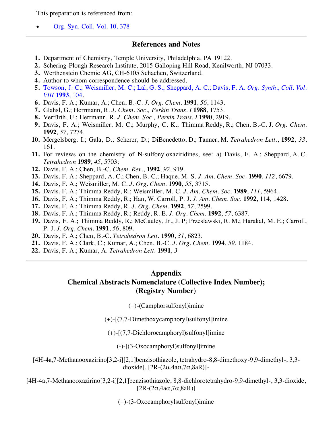This preparation is referenced from:

[Org. Syn. Coll. Vol. 10, 378](http://www.orgsyn.org/orgsyn/prep.asp?prep=V76P0037)

#### **References and Notes**

- **1.** Department of Chemistry, Temple University, Philadelphia, PA 19122.
- **2.** Schering-Plough Research Institute, 2015 Galloping Hill Road, Kenilworth, NJ 07033.
- **3.** Werthenstein Chemie AG, CH-6105 Schachen, Switzerland.
- **4.** Author to whom correspondence should be addressed.
- **5.** [Towson, J. C.; Weismiller, M. C.; Lal, G. S.; Sheppard, A. C.; Davis, F. A.](http://www.orgsyn.org/orgsyn/prep.asp?prep=cv8p0104) *Org. Synth., Coll. Vol. VIII* **1993**, 104.
- **6.** Davis, F. A.; Kumar, A.; Chen, B.-C. *J. Org. Chem.* **1991**, *56*, 1143.
- **7.** Glahsl, G.; Herrmann, R. *J. Chem. Soc., Perkin Trans. I* **1988**, 1753.
- **8.** Verfürth, U.; Herrmann, R. *J. Chem. Soc., Perkin Trans. I* **1990**, 2919.
- **9.** Davis, F. A.; Weismiller, M. C.; Murphy, C. K.; Thimma Reddy, R.; Chen. B.-C. J. *Org. Chem.* **1992**, *57*, 7274.
- **10.** Mergelsberg. I.; Gala, D.; Scherer, D.; DiBenedetto, D.; Tanner, M. *Tetrahedron Lett.*, **1992**, *33*, 161.
- **11.** For reviews on the chemistry of N-sulfonyloxaziridines, see: a) Davis, F. A.; Sheppard, A. C. *Tetrahedron* **1989**, *45*, 5703;
- **12.** Davis, F. A.; Chen, B.-C. *Chem. Rev.*, **1992**, *92*, 919.
- **13.** Davis, F. A.; Sheppard, A. C.; Chen, B.-C.; Haque, M. S. *J. Am. Chem. Soc.* **1990**, *112*, 6679.
- **14.** Davis, F. A.; Weismiller, M. C. *J. Org. Chem.* **1990**, *55*, 3715.
- **15.** Davis, F. A.; Thimma Reddy, R.; Weismiller, M. C. *J. Am. Chem. Soc.* **1989**, *111*, 5964.
- **16.** Davis, F. A.; Thimma Reddy, R.; Han, W. Carroll, P. J. *J. Am. Chem. Soc.* **1992**, 114, 1428.
- **17.** Davis, F. A.; Thimma Reddy, R. *J. Org. Chem.* **1992**, *57*, 2599.
- **18.** Davis, F. A.; Thimma Reddy, R.; Reddy, R. E. *J. Org. Chem.* **1992**, *57*, 6387.
- **19.** Davis, F. A.; Thimma Reddy, R.; McCauley, Jr., J. P; Przeslawski, R. M.; Harakal, M. E.; Carroll, P. J. *J. Org. Chem.* **1991**, *56*, 809.
- **20.** Davis, F. A.; Chen, B.-C. *Tetrahedron Lett.* **1990**, *31*, 6823.
- **21.** Davis, F. A.; Clark, C.; Kumar, A.; Chen, B.-C. *J. Org. Chem.* **1994**, *59*, 1184.
- **22.** Davis, F. A.; Kumar, A. *Tetrahedron Lett.* **1991**, *3*

## **Appendix Chemical Abstracts Nomenclature (Collective Index Number); (Registry Number)**

(−)-(Camphorsulfonyl)imine

(+)-[(7,7-Dimethoxycamphoryl)sulfonyl]imine

(+)-[(7,7-Dichlorocamphoryl)sulfonyl]imine

(-)-[(3-Oxocamphoryl)sulfonyl]imine

[4H-4a,7-Methanooxazirino[3,2-i][2,1]benzisothiazole, tetrahydro-8,8-dimethoxy-9,9-dimethyl-, 3,3 dioxide],  $[2R-(2\alpha, 4a\alpha, 7\alpha, 8aR)]$ -

[4H-4a,7-Methanooxazirino[3,2-i][2,1]benzisothiazole, 8,8-dichlorotetrahydro-9,9-dimethyl-, 3,3-dioxide,  $[2R-(2\alpha,4a\alpha,7\alpha,8aR)]$ 

(−)-(3-Oxocamphorylsulfonyl)imine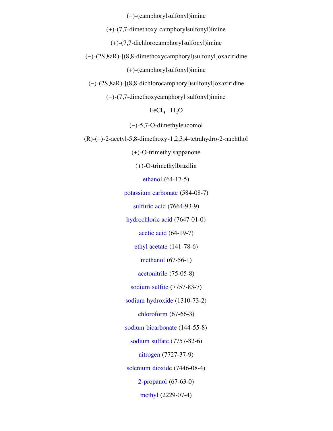(−)-(camphorylsulfonyl)imine

(+)-(7,7-dimethoxy camphorylsulfonyl)imine

(+)-(7,7-dichlorocamphorylsulfonyl)imine

(−)-(2S,8aR)-[(8,8-dimethoxycamphoryl)sulfonyl]oxaziridine

(+)-(camphorylsulfonyl)imine

(−)-(2S,8aR)-[(8,8-dichlorocamphoryl)sulfonyl]oxaziridine

(−)-(7,7-dimethoxycamphoryl sulfonyl)imine

 $FeCl<sub>3</sub> · H<sub>2</sub>O$ 

(−)-5,7-O-dimethyleucomol

(R)-(−)-2-acetyl-5,8-dimethoxy-1,2,3,4-tetrahydro-2-naphthol

(+)-O-trimethylsappanone

(+)-O-trimethylbrazilin

[ethanol](http://www.orgsyn.org/orgsyn/chemname.asp?nameID=35861) (64-17-5)

[potassium carbonate](http://www.orgsyn.org/orgsyn/chemname.asp?nameID=32773) (584-08-7)

[sulfuric acid](http://www.orgsyn.org/orgsyn/chemname.asp?nameID=32777) (7664-93-9)

[hydrochloric acid](http://www.orgsyn.org/orgsyn/chemname.asp?nameID=32803) (7647-01-0)

[acetic acid](http://www.orgsyn.org/orgsyn/chemname.asp?nameID=32786) (64-19-7)

[ethyl acetate](http://www.orgsyn.org/orgsyn/chemname.asp?nameID=32790) (141-78-6)

[methanol](http://www.orgsyn.org/orgsyn/chemname.asp?nameID=34027) (67-56-1)

[acetonitrile](http://www.orgsyn.org/orgsyn/chemname.asp?nameID=32802) (75-05-8)

[sodium sulfite](http://www.orgsyn.org/orgsyn/chemname.asp?nameID=32817) (7757-83-7)

[sodium hydroxide](http://www.orgsyn.org/orgsyn/chemname.asp?nameID=32818) (1310-73-2)

[chloroform](http://www.orgsyn.org/orgsyn/chemname.asp?nameID=32838) (67-66-3)

[sodium bicarbonate](http://www.orgsyn.org/orgsyn/chemname.asp?nameID=32850) (144-55-8)

[sodium sulfate](http://www.orgsyn.org/orgsyn/chemname.asp?nameID=32963) (7757-82-6)

[nitrogen](http://www.orgsyn.org/orgsyn/chemname.asp?nameID=32985) (7727-37-9)

[selenium dioxide](http://www.orgsyn.org/orgsyn/chemname.asp?nameID=33179) (7446-08-4)

[2-propanol](http://www.orgsyn.org/orgsyn/chemname.asp?nameID=42991) (67-63-0)

[methyl](http://www.orgsyn.org/orgsyn/chemname.asp?nameID=33736) (2229-07-4)